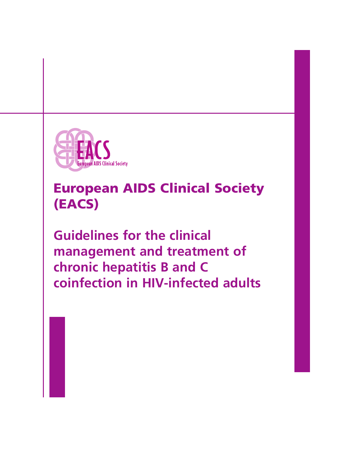

# **European AIDS Clinical Society (EACS)**

**Guidelines for the clinical management and treatment of chronic hepatitis B and C coinfection in HIV-infected adults**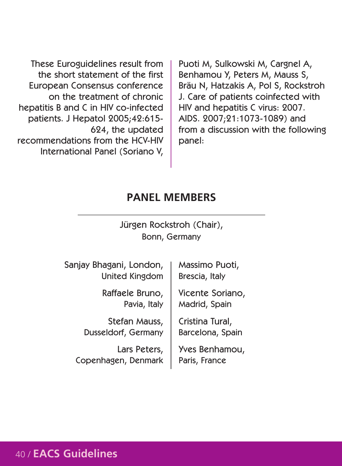These Euroguidelines result from the short statement of the first European Consensus conference on the treatment of chronic hepatitis B and C in HIV co-infected patients. J Hepatol 2005;42:615- 624, the updated recommendations from the HCV-HIV International Panel (Soriano V, Puoti M, Sulkowski M, Cargnel A, Benhamou Y, Peters M, Mauss S, Bräu N, Hatzakis A, Pol S, Rockstroh J. Care of patients coinfected with HIV and hepatitis C virus: 2007. AIDS. 2007;21:1073-1089) and from a discussion with the following panel:

#### **PANEL MEMBERS**

#### Jürgen Rockstroh (Chair), Bonn, Germany

Sanjay Bhagani, London, United Kingdom

> Raffaele Bruno, Pavia, Italy

Stefan Mauss, Dusseldorf, Germany

Lars Peters, Copenhagen, Denmark Massimo Puoti, Brescia, Italy

Vicente Soriano, Madrid, Spain

Cristina Tural, Barcelona, Spain

Yves Benhamou, Paris, France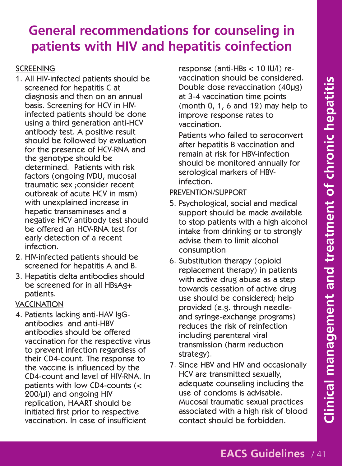# **General recommendations for counseling in patients with HIV and hepatitis coinfection**

#### **SCREENING**

- 1. All HIV-infected patients should be screened for hepatitis C at diagnosis and then on an annual basis. Screening for HCV in HIVinfected patients should be done using a third generation anti-HCV antibody test. A positive result should be followed by evaluation for the presence of HCV-RNA and the genotype should be determined. Patients with risk factors (ongoing IVDU, mucosal traumatic sex ;consider recent outbreak of acute HCV in msm) with unexplained increase in hepatic transaminases and a negative HCV antibody test should be offered an HCV-RNA test for early detection of a recent infection.
- 2. HIV-infected patients should be screened for hepatitis A and B.
- 3. Hepatitis delta antibodies should be screened for in all HBsAg+ patients.

#### VACCINATION

4. Patients lacking anti-HAV IgGantibodies and anti-HBV antibodies should be offered vaccination for the respective virus to prevent infection regardless of their CD4-count. The response to the vaccine is influenced by the CD4-count and level of HIV-RNA. In patients with low CD4-counts (< 200/µl) and ongoing HIV replication, HAART should be initiated first prior to respective vaccination. In case of insufficient

response (anti-HBs < 10 IU/l) revaccination should be considered. Double dose revaccination (40µg) at 3-4 vaccination time points (month 0, 1, 6 and 12) may help to improve response rates to vaccination.

Patients who failed to seroconvert after hepatitis B vaccination and remain at risk for HBV-infection should be monitored annually for serological markers of HBVinfection.

#### PREVENTION/SUPPORT

- 5. Psychological, social and medical support should be made available to stop patients with a high alcohol intake from drinking or to strongly advise them to limit alcohol consumption.
- 6. Substitution therapy (opioid replacement therapy) in patients with active drug abuse as a step towards cessation of active drug use should be considered; help provided (e.g. through needleand syringe-exchange programs) reduces the risk of reinfection including parenteral viral transmission (harm reduction strategy).
- 7. Since HBV and HIV and occasionally HCV are transmitted sexually, adequate counseling including the use of condoms is advisable. Mucosal traumatic sexual practices associated with a high risk of blood contact should be forbidden.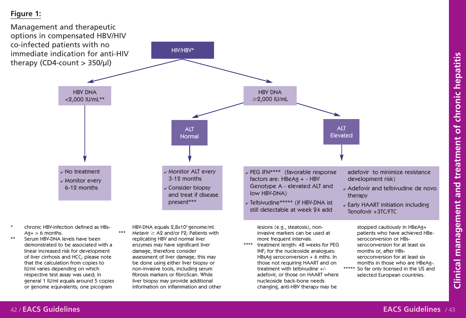## **Figure 1:**



changing, anti-HBV therapy may be

information on inflammation and other

or genome equivalents; one picogram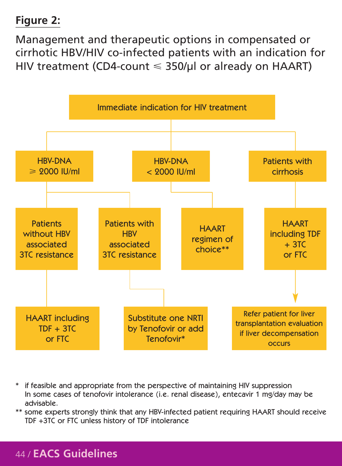## **Figure 2:**

Management and therapeutic options in compensated or cirrhotic HBV/HIV co-infected patients with an indication for HIV treatment (CD4-count  $\leqslant$  350/µl or already on <code>HAART</code>)



if feasible and appropriate from the perspective of maintaining HIV suppression In some cases of tenofovir intolerance (i.e. renal disease), entecavir 1 mg/day may be advisable.

\*\* some experts strongly think that any HBV-infected patient requiring HAART should receive TDF +3TC or FTC unless history of TDF intolerance

### 44 / **EACS Guidelines**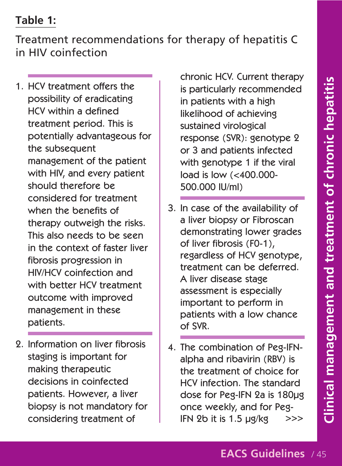#### **Table 1:**

Treatment recommendations for therapy of hepatitis C in HIV coinfection

- 1. HCV treatment offers the possibility of eradicating HCV within a defined treatment period. This is potentially advantageous for the subsequent management of the patient with HIV, and every patient should therefore be considered for treatment when the benefits of therapy outweigh the risks. This also needs to be seen in the context of faster liver fibrosis progression in HIV/HCV coinfection and with better HCV treatment outcome with improved management in these patients.
- 2. Information on liver fibrosis staging is important for making therapeutic decisions in coinfected patients. However, a liver biopsy is not mandatory for considering treatment of

chronic HCV. Current therapy is particularly recommended in patients with a high likelihood of achieving sustained virological response (SVR): genotype 2 or 3 and patients infected with genotype 1 if the viral load is low (<400.000- 500.000 IU/ml)

- 3. In case of the availability of a liver biopsy or Fibroscan demonstrating lower grades of liver fibrosis (F0-1), regardless of HCV genotype, treatment can be deferred. A liver disease stage assessment is especially important to perform in patients with a low chance of SVR.
- 4. The combination of Peg-IFNalpha and ribavirin (RBV) is the treatment of choice for HCV infection. The standard dose for Peg-IFN 2a is 180µg once weekly, and for Peg-IFN 2b it is 1.5 µg/kg >>>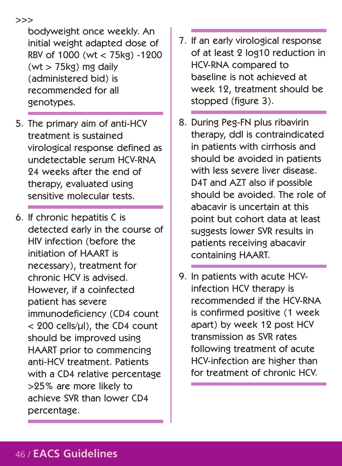bodyweight once weekly. An initial weight adapted dose of RBV of 1000 (wt < 75kg) -1200  $(wt > 75k<sub>g</sub>)$  mg daily (administered bid) is recommended for all genotypes.

- 5. The primary aim of anti-HCV treatment is sustained virological response defined as undetectable serum HCV-RNA 24 weeks after the end of therapy, evaluated using sensitive molecular tests.
- 6. If chronic hepatitis C is detected early in the course of HIV infection (before the initiation of HAART is necessary), treatment for chronic HCV is advised. However, if a coinfected patient has severe immunodeficiency (CD4 count < 200 cells/µl), the CD4 count should be improved using HAART prior to commencing anti-HCV treatment. Patients with a CD4 relative percentage >25% are more likely to achieve SVR than lower CD4 percentage.
- 7. If an early virological response of at least 2 log10 reduction in HCV-RNA compared to baseline is not achieved at week 12, treatment should be stopped (figure 3).
- 8. During Peg-FN plus ribavirin therapy, ddI is contraindicated in patients with cirrhosis and should be avoided in patients with less severe liver disease. D4T and AZT also if possible should be avoided. The role of abacavir is uncertain at this point but cohort data at least suggests lower SVR results in patients receiving abacavir containing HAART.
- 9. In patients with acute HCVinfection HCV therapy is recommended if the HCV-RNA is confirmed positive (1 week apart) by week 12 post HCV transmission as SVR rates following treatment of acute HCV-infection are higher than for treatment of chronic HCV.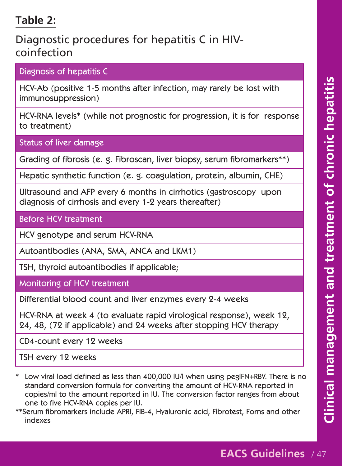### **Table 2:**

### Diagnostic procedures for hepatitis C in HIVcoinfection

Diagnosis of hepatitis C

HCV-Ab (positive 1-5 months after infection, may rarely be lost with immunosuppression)

HCV-RNA levels\* (while not prognostic for progression, it is for response to treatment)

Status of liver damage

Grading of fibrosis (e. g. Fibroscan, liver biopsy, serum fibromarkers\*\*)

Hepatic synthetic function (e. g. coagulation, protein, albumin, CHE)

Ultrasound and AFP every 6 months in cirrhotics (gastroscopy upon diagnosis of cirrhosis and every 1-2 years thereafter)

Before HCV treatment

HCV genotype and serum HCV-RNA

Autoantibodies (ANA, SMA, ANCA and LKM1)

TSH, thyroid autoantibodies if applicable;

Monitoring of HCV treatment

Differential blood count and liver enzymes every 2-4 weeks

HCV-RNA at week 4 (to evaluate rapid virological response), week 12, 24, 48, (72 if applicable) and 24 weeks after stopping HCV therapy

CD4-count every 12 weeks

TSH every 12 weeks

- \* Low viral load defined as less than 400,000 IU/l when using pegIFN+RBV. There is no standard conversion formula for converting the amount of HCV-RNA reported in copies/ml to the amount reported in IU. The conversion factor ranges from about one to five HCV-RNA copies per IU.
- \*\*Serum fibromarkers include APRI, FIB-4, Hyaluronic acid, Fibrotest, Forns and other indexes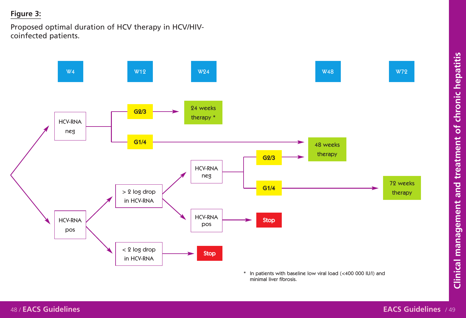# **Figure 3:**

Proposed optimal duration of HCV therapy in HCV/HIVcoinfected patients.



\* In patients with baseline low viral load (<400 000 IU/l) and minimal liver fibrosis.